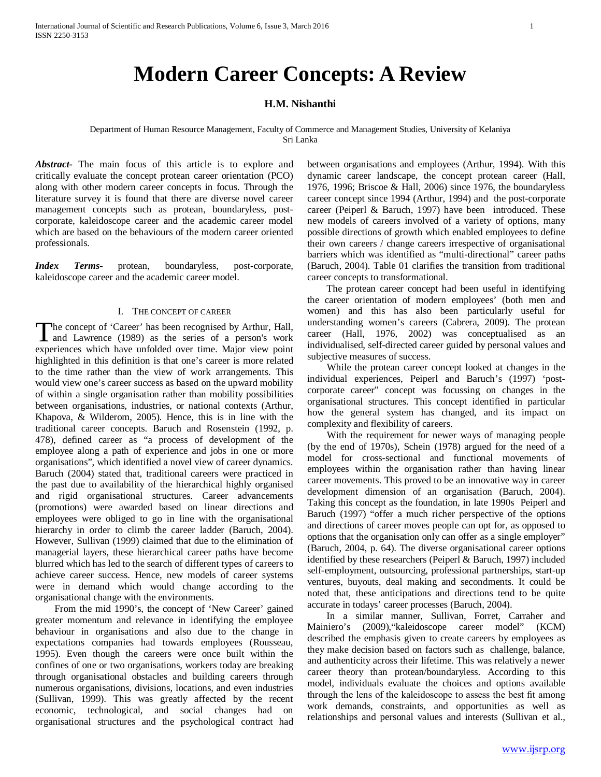# **Modern Career Concepts: A Review**

## **H.M. Nishanthi**

## Department of Human Resource Management, Faculty of Commerce and Management Studies, University of Kelaniya Sri Lanka

*Abstract***-** The main focus of this article is to explore and critically evaluate the concept protean career orientation (PCO) along with other modern career concepts in focus. Through the literature survey it is found that there are diverse novel career management concepts such as protean, boundaryless, postcorporate, kaleidoscope career and the academic career model which are based on the behaviours of the modern career oriented professionals.

*Index Terms*- protean, boundaryless, post-corporate, kaleidoscope career and the academic career model.

## I. THE CONCEPT OF CAREER

he concept of 'Career' has been recognised by Arthur, Hall, The concept of 'Career' has been recognised by Arthur, Hall,<br>and Lawrence (1989) as the series of a person's work experiences which have unfolded over time. Major view point highlighted in this definition is that one's career is more related to the time rather than the view of work arrangements. This would view one's career success as based on the upward mobility of within a single organisation rather than mobility possibilities between organisations, industries, or national contexts (Arthur, Khapova, & Wilderom, 2005). Hence, this is in line with the traditional career concepts. Baruch and Rosenstein (1992, p. 478), defined career as "a process of development of the employee along a path of experience and jobs in one or more organisations", which identified a novel view of career dynamics. Baruch (2004) stated that, traditional careers were practiced in the past due to availability of the hierarchical highly organised and rigid organisational structures. Career advancements (promotions) were awarded based on linear directions and employees were obliged to go in line with the organisational hierarchy in order to climb the career ladder (Baruch, 2004). However, Sullivan (1999) claimed that due to the elimination of managerial layers, these hierarchical career paths have become blurred which has led to the search of different types of careers to achieve career success. Hence, new models of career systems were in demand which would change according to the organisational change with the environments.

 From the mid 1990's, the concept of 'New Career' gained greater momentum and relevance in identifying the employee behaviour in organisations and also due to the change in expectations companies had towards employees (Rousseau, 1995). Even though the careers were once built within the confines of one or two organisations, workers today are breaking through organisational obstacles and building careers through numerous organisations, divisions, locations, and even industries (Sullivan, 1999). This was greatly affected by the recent economic, technological, and social changes had on organisational structures and the psychological contract had between organisations and employees (Arthur, 1994). With this dynamic career landscape, the concept protean career (Hall, 1976, 1996; Briscoe & Hall, 2006) since 1976, the boundaryless career concept since 1994 (Arthur, 1994) and the post-corporate career (Peiperl & Baruch, 1997) have been introduced. These new models of careers involved of a variety of options, many possible directions of growth which enabled employees to define their own careers / change careers irrespective of organisational barriers which was identified as "multi-directional" career paths (Baruch, 2004). Table 01 clarifies the transition from traditional career concepts to transformational.

 The protean career concept had been useful in identifying the career orientation of modern employees' (both men and women) and this has also been particularly useful for understanding women's careers (Cabrera, 2009). The protean career (Hall, 1976, 2002) was conceptualised as an individualised, self-directed career guided by personal values and subjective measures of success.

 While the protean career concept looked at changes in the individual experiences, Peiperl and Baruch's (1997) 'postcorporate career" concept was focussing on changes in the organisational structures. This concept identified in particular how the general system has changed, and its impact on complexity and flexibility of careers.

 With the requirement for newer ways of managing people (by the end of 1970s), Schein (1978) argued for the need of a model for cross-sectional and functional movements of employees within the organisation rather than having linear career movements. This proved to be an innovative way in career development dimension of an organisation (Baruch, 2004). Taking this concept as the foundation, in late 1990s Peiperl and Baruch (1997) "offer a much richer perspective of the options and directions of career moves people can opt for, as opposed to options that the organisation only can offer as a single employer" (Baruch, 2004, p. 64). The diverse organisational career options identified by these researchers (Peiperl & Baruch, 1997) included self-employment, outsourcing, professional partnerships, start-up ventures, buyouts, deal making and secondments. It could be noted that, these anticipations and directions tend to be quite accurate in todays' career processes (Baruch, 2004).

 In a similar manner, Sullivan, Forret, Carraher and Mainiero's (2009),"kaleidoscope career model" (KCM) described the emphasis given to create careers by employees as they make decision based on factors such as challenge, balance, and authenticity across their lifetime. This was relatively a newer career theory than protean/boundaryless. According to this model, individuals evaluate the choices and options available through the lens of the kaleidoscope to assess the best fit among work demands, constraints, and opportunities as well as relationships and personal values and interests (Sullivan et al.,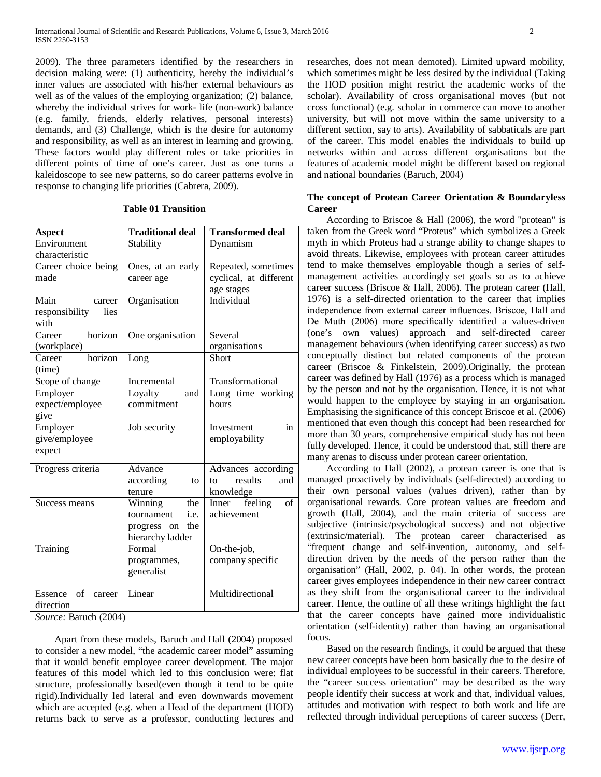2009). The three parameters identified by the researchers in decision making were: (1) authenticity, hereby the individual's inner values are associated with his/her external behaviours as well as of the values of the employing organization; (2) balance, whereby the individual strives for work- life (non-work) balance (e.g. family, friends, elderly relatives, personal interests) demands, and (3) Challenge, which is the desire for autonomy and responsibility, as well as an interest in learning and growing. These factors would play different roles or take priorities in different points of time of one's career. Just as one turns a kaleidoscope to see new patterns, so do career patterns evolve in response to changing life priorities (Cabrera, 2009).

## **Table 01 Transition**

| <b>Aspect</b>           | <b>Traditional deal</b> | <b>Transformed deal</b> |
|-------------------------|-------------------------|-------------------------|
| Environment             | Stability               | Dynamism                |
| characteristic          |                         |                         |
| Career choice being     | Ones, at an early       | Repeated, sometimes     |
| made                    | career age              | cyclical, at different  |
|                         |                         | age stages              |
| Main<br>career          | Organisation            | Individual              |
| responsibility<br>lies  |                         |                         |
| with                    |                         |                         |
| horizon<br>Career       | One organisation        | Several                 |
| (workplace)             |                         | organisations           |
| horizon<br>Career       | Long                    | <b>Short</b>            |
| (time)                  |                         |                         |
| Scope of change         | Incremental             | Transformational        |
| Employer                | Loyalty<br>and          | Long time working       |
| expect/employee         | commitment              | hours                   |
| give                    |                         |                         |
| Employer                | Job security            | Investment<br>in        |
| give/employee           |                         | employability           |
| expect                  |                         |                         |
| Progress criteria       | Advance                 | Advances according      |
|                         | according<br>to         | results<br>and<br>to    |
|                         | tenure                  | knowledge               |
| Success means           | Winning<br>the          | feeling<br>Inner<br>of  |
|                         | i.e.<br>tournament      | achievement             |
|                         | the<br>progress<br>on   |                         |
|                         | hierarchy ladder        |                         |
| Training                | Formal                  | On-the-job,             |
|                         | programmes,             | company specific        |
|                         | generalist              |                         |
|                         |                         |                         |
| Essence<br>of<br>career | Linear                  | Multidirectional        |
| direction               |                         |                         |

*Source:* Baruch (2004)

 Apart from these models, Baruch and Hall (2004) proposed to consider a new model, "the academic career model" assuming that it would benefit employee career development. The major features of this model which led to this conclusion were: flat structure, professionally based(even though it tend to be quite rigid).Individually led lateral and even downwards movement which are accepted (e.g. when a Head of the department (HOD) returns back to serve as a professor, conducting lectures and researches, does not mean demoted). Limited upward mobility, which sometimes might be less desired by the individual (Taking the HOD position might restrict the academic works of the scholar). Availability of cross organisational moves (but not cross functional) (e.g. scholar in commerce can move to another university, but will not move within the same university to a different section, say to arts). Availability of sabbaticals are part of the career. This model enables the individuals to build up networks within and across different organisations but the features of academic model might be different based on regional and national boundaries (Baruch, 2004)

# **The concept of Protean Career Orientation & Boundaryless Career**

 According to Briscoe & Hall (2006), the word "protean" is taken from the Greek word "Proteus" which symbolizes a Greek myth in which Proteus had a strange ability to change shapes to avoid threats. Likewise, employees with protean career attitudes tend to make themselves employable though a series of selfmanagement activities accordingly set goals so as to achieve career success (Briscoe & Hall, 2006). The protean career (Hall, 1976) is a self-directed orientation to the career that implies independence from external career influences. Briscoe, Hall and De Muth (2006) more specifically identified a values-driven (one's own values) approach and self-directed career management behaviours (when identifying career success) as two conceptually distinct but related components of the protean career (Briscoe & Finkelstein, 2009).Originally, the protean career was defined by Hall (1976) as a process which is managed by the person and not by the organisation. Hence, it is not what would happen to the employee by staying in an organisation. Emphasising the significance of this concept Briscoe et al. (2006) mentioned that even though this concept had been researched for more than 30 years, comprehensive empirical study has not been fully developed. Hence, it could be understood that, still there are many arenas to discuss under protean career orientation.

 According to Hall (2002), a protean career is one that is managed proactively by individuals (self-directed) according to their own personal values (values driven), rather than by organisational rewards. Core protean values are freedom and growth (Hall, 2004), and the main criteria of success are subjective (intrinsic/psychological success) and not objective (extrinsic/material). The protean career characterised as "frequent change and self-invention, autonomy, and selfdirection driven by the needs of the person rather than the organisation" (Hall, 2002, p. 04). In other words, the protean career gives employees independence in their new career contract as they shift from the organisational career to the individual career. Hence, the outline of all these writings highlight the fact that the career concepts have gained more individualistic orientation (self-identity) rather than having an organisational focus.

 Based on the research findings, it could be argued that these new career concepts have been born basically due to the desire of individual employees to be successful in their careers. Therefore, the "career success orientation" may be described as the way people identify their success at work and that, individual values, attitudes and motivation with respect to both work and life are reflected through individual perceptions of career success (Derr,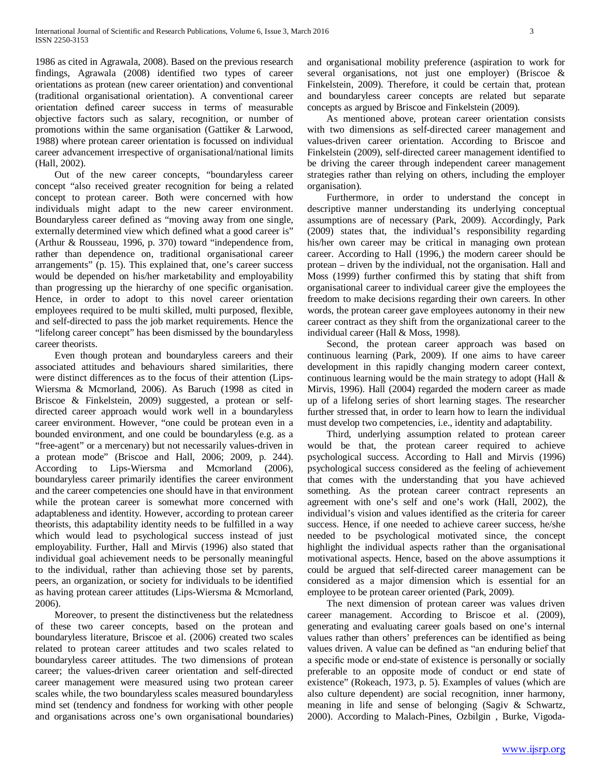1986 as cited in Agrawala, 2008). Based on the previous research findings, Agrawala (2008) identified two types of career orientations as protean (new career orientation) and conventional (traditional organisational orientation). A conventional career orientation defined career success in terms of measurable objective factors such as salary, recognition, or number of promotions within the same organisation (Gattiker & Larwood, 1988) where protean career orientation is focussed on individual career advancement irrespective of organisational/national limits (Hall, 2002).

 Out of the new career concepts, "boundaryless career concept "also received greater recognition for being a related concept to protean career. Both were concerned with how individuals might adapt to the new career environment. Boundaryless career defined as "moving away from one single, externally determined view which defined what a good career is" (Arthur & Rousseau, 1996, p. 370) toward "independence from, rather than dependence on, traditional organisational career arrangements" (p. 15). This explained that, one's career success would be depended on his/her marketability and employability than progressing up the hierarchy of one specific organisation. Hence, in order to adopt to this novel career orientation employees required to be multi skilled, multi purposed, flexible, and self-directed to pass the job market requirements. Hence the "lifelong career concept" has been dismissed by the boundaryless career theorists.

 Even though protean and boundaryless careers and their associated attitudes and behaviours shared similarities, there were distinct differences as to the focus of their attention (Lips-Wiersma & Mcmorland, 2006). As Baruch (1998 as cited in Briscoe & Finkelstein, 2009) suggested, a protean or selfdirected career approach would work well in a boundaryless career environment. However, "one could be protean even in a bounded environment, and one could be boundaryless (e.g. as a "free-agent" or a mercenary) but not necessarily values-driven in a protean mode" (Briscoe and Hall, 2006; 2009, p. 244). According to Lips-Wiersma and Mcmorland (2006), boundaryless career primarily identifies the career environment and the career competencies one should have in that environment while the protean career is somewhat more concerned with adaptableness and identity. However, according to protean career theorists, this adaptability identity needs to be fulfilled in a way which would lead to psychological success instead of just employability. Further, Hall and Mirvis (1996) also stated that individual goal achievement needs to be personally meaningful to the individual, rather than achieving those set by parents, peers, an organization, or society for individuals to be identified as having protean career attitudes (Lips-Wiersma & Mcmorland, 2006).

 Moreover, to present the distinctiveness but the relatedness of these two career concepts, based on the protean and boundaryless literature, Briscoe et al. (2006) created two scales related to protean career attitudes and two scales related to boundaryless career attitudes. The two dimensions of protean career; the values-driven career orientation and self-directed career management were measured using two protean career scales while, the two boundaryless scales measured boundaryless mind set (tendency and fondness for working with other people and organisations across one's own organisational boundaries) and organisational mobility preference (aspiration to work for several organisations, not just one employer) (Briscoe & Finkelstein, 2009). Therefore, it could be certain that, protean and boundaryless career concepts are related but separate concepts as argued by Briscoe and Finkelstein (2009).

 As mentioned above, protean career orientation consists with two dimensions as self-directed career management and values-driven career orientation. According to Briscoe and Finkelstein (2009), self-directed career management identified to be driving the career through independent career management strategies rather than relying on others, including the employer organisation).

 Furthermore, in order to understand the concept in descriptive manner understanding its underlying conceptual assumptions are of necessary (Park, 2009). Accordingly, Park (2009) states that, the individual's responsibility regarding his/her own career may be critical in managing own protean career. According to Hall (1996,) the modern career should be protean – driven by the individual, not the organisation. Hall and Moss (1999) further confirmed this by stating that shift from organisational career to individual career give the employees the freedom to make decisions regarding their own careers. In other words, the protean career gave employees autonomy in their new career contract as they shift from the organizational career to the individual career (Hall & Moss, 1998).

 Second, the protean career approach was based on continuous learning (Park, 2009). If one aims to have career development in this rapidly changing modern career context, continuous learning would be the main strategy to adopt (Hall & Mirvis, 1996). Hall (2004) regarded the modern career as made up of a lifelong series of short learning stages. The researcher further stressed that, in order to learn how to learn the individual must develop two competencies, i.e., identity and adaptability.

 Third, underlying assumption related to protean career would be that, the protean career required to achieve psychological success. According to Hall and Mirvis (1996) psychological success considered as the feeling of achievement that comes with the understanding that you have achieved something. As the protean career contract represents an agreement with one's self and one's work (Hall, 2002), the individual's vision and values identified as the criteria for career success. Hence, if one needed to achieve career success, he/she needed to be psychological motivated since, the concept highlight the individual aspects rather than the organisational motivational aspects. Hence, based on the above assumptions it could be argued that self-directed career management can be considered as a major dimension which is essential for an employee to be protean career oriented (Park, 2009).

 The next dimension of protean career was values driven career management. According to Briscoe et al. (2009), generating and evaluating career goals based on one's internal values rather than others' preferences can be identified as being values driven. A value can be defined as "an enduring belief that a specific mode or end-state of existence is personally or socially preferable to an opposite mode of conduct or end state of existence" (Rokeach, 1973, p. 5). Examples of values (which are also culture dependent) are social recognition, inner harmony, meaning in life and sense of belonging (Sagiv & Schwartz, 2000). According to Malach-Pines, Ozbilgin , Burke, Vigoda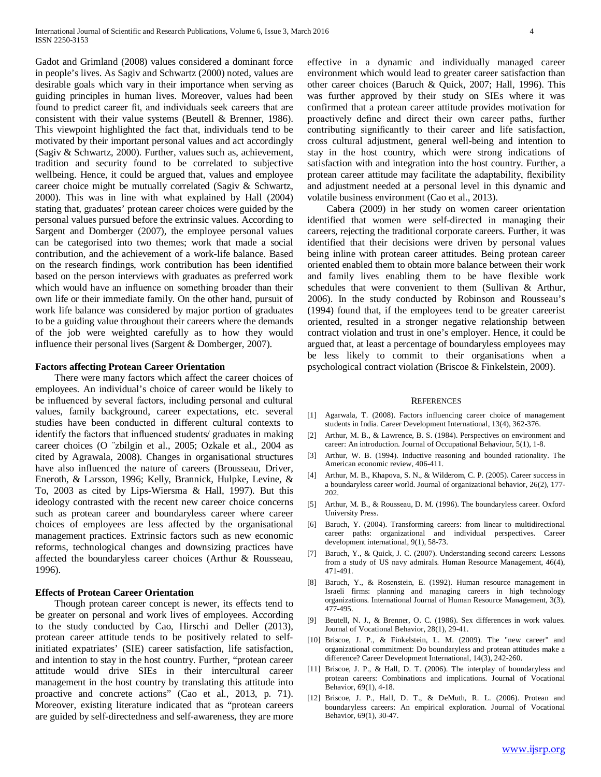Gadot and Grimland (2008) values considered a dominant force in people's lives. As Sagiv and Schwartz (2000) noted, values are desirable goals which vary in their importance when serving as guiding principles in human lives. Moreover, values had been found to predict career fit, and individuals seek careers that are consistent with their value systems (Beutell & Brenner, 1986). This viewpoint highlighted the fact that, individuals tend to be motivated by their important personal values and act accordingly (Sagiv & Schwartz, 2000). Further, values such as, achievement, tradition and security found to be correlated to subjective wellbeing. Hence, it could be argued that, values and employee career choice might be mutually correlated (Sagiv & Schwartz, 2000). This was in line with what explained by Hall (2004) stating that, graduates' protean career choices were guided by the personal values pursued before the extrinsic values. According to Sargent and Domberger (2007), the employee personal values can be categorised into two themes; work that made a social contribution, and the achievement of a work-life balance. Based on the research findings, work contribution has been identified based on the person interviews with graduates as preferred work which would have an influence on something broader than their own life or their immediate family. On the other hand, pursuit of work life balance was considered by major portion of graduates to be a guiding value throughout their careers where the demands of the job were weighted carefully as to how they would influence their personal lives (Sargent & Domberger, 2007).

## **Factors affecting Protean Career Orientation**

 There were many factors which affect the career choices of employees. An individual's choice of career would be likely to be influenced by several factors, including personal and cultural values, family background, career expectations, etc. several studies have been conducted in different cultural contexts to identify the factors that influenced students/ graduates in making career choices (O ¨zbilgin et al., 2005; Ozkale et al., 2004 as cited by Agrawala, 2008). Changes in organisational structures have also influenced the nature of careers (Brousseau, Driver, Eneroth, & Larsson, 1996; Kelly, Brannick, Hulpke, Levine, & To, 2003 as cited by Lips-Wiersma & Hall, 1997). But this ideology contrasted with the recent new career choice concerns such as protean career and boundaryless career where career choices of employees are less affected by the organisational management practices. Extrinsic factors such as new economic reforms, technological changes and downsizing practices have affected the boundaryless career choices (Arthur & Rousseau, 1996).

## **Effects of Protean Career Orientation**

 Though protean career concept is newer, its effects tend to be greater on personal and work lives of employees. According to the study conducted by Cao, Hirschi and Deller (2013), protean career attitude tends to be positively related to selfinitiated expatriates' (SIE) career satisfaction, life satisfaction, and intention to stay in the host country. Further, "protean career attitude would drive SIEs in their intercultural career management in the host country by translating this attitude into proactive and concrete actions" (Cao et al., 2013, p. 71). Moreover, existing literature indicated that as "protean careers are guided by self-directedness and self-awareness, they are more effective in a dynamic and individually managed career environment which would lead to greater career satisfaction than other career choices (Baruch & Quick, 2007; Hall, 1996). This was further approved by their study on SIEs where it was confirmed that a protean career attitude provides motivation for proactively define and direct their own career paths, further contributing significantly to their career and life satisfaction, cross cultural adjustment, general well-being and intention to stay in the host country, which were strong indications of satisfaction with and integration into the host country. Further, a protean career attitude may facilitate the adaptability, flexibility and adjustment needed at a personal level in this dynamic and volatile business environment (Cao et al., 2013).

 Cabera (2009) in her study on women career orientation identified that women were self-directed in managing their careers, rejecting the traditional corporate careers. Further, it was identified that their decisions were driven by personal values being inline with protean career attitudes. Being protean career oriented enabled them to obtain more balance between their work and family lives enabling them to be have flexible work schedules that were convenient to them (Sullivan & Arthur, 2006). In the study conducted by Robinson and Rousseau's (1994) found that, if the employees tend to be greater careerist oriented, resulted in a stronger negative relationship between contract violation and trust in one's employer. Hence, it could be argued that, at least a percentage of boundaryless employees may be less likely to commit to their organisations when a psychological contract violation (Briscoe & Finkelstein, 2009).

#### **REFERENCES**

- [1] Agarwala, T. (2008). Factors influencing career choice of management students in India. Career Development International, 13(4), 362-376.
- [2] Arthur, M. B., & Lawrence, B. S. (1984). Perspectives on environment and career: An introduction. Journal of Occupational Behaviour, 5(1), 1-8.
- [3] Arthur, W. B. (1994). Inductive reasoning and bounded rationality. The American economic review, 406-411.
- [4] Arthur, M. B., Khapova, S. N., & Wilderom, C. P. (2005). Career success in a boundaryless career world. Journal of organizational behavior, 26(2), 177- 202.
- [5] Arthur, M. B., & Rousseau, D. M. (1996). The boundaryless career. Oxford University Press.
- [6] Baruch, Y. (2004). Transforming careers: from linear to multidirectional career paths: organizational and individual perspectives. Career development international, 9(1), 58-73.
- [7] Baruch, Y., & Quick, J. C. (2007). Understanding second careers: Lessons from a study of US navy admirals. Human Resource Management, 46(4), 471-491.
- [8] Baruch, Y., & Rosenstein, E. (1992). Human resource management in Israeli firms: planning and managing careers in high technology organizations. International Journal of Human Resource Management, 3(3), 477-495.
- [9] Beutell, N. J., & Brenner, O. C. (1986). Sex differences in work values. Journal of Vocational Behavior, 28(1), 29-41.
- [10] Briscoe, J. P., & Finkelstein, L. M. (2009). The "new career" and organizational commitment: Do boundaryless and protean attitudes make a difference? Career Development International, 14(3), 242-260.
- [11] Briscoe, J. P., & Hall, D. T. (2006). The interplay of boundaryless and protean careers: Combinations and implications. Journal of Vocational Behavior, 69(1), 4-18.
- [12] Briscoe, J. P., Hall, D. T., & DeMuth, R. L. (2006). Protean and boundaryless careers: An empirical exploration. Journal of Vocational Behavior, 69(1), 30-47.